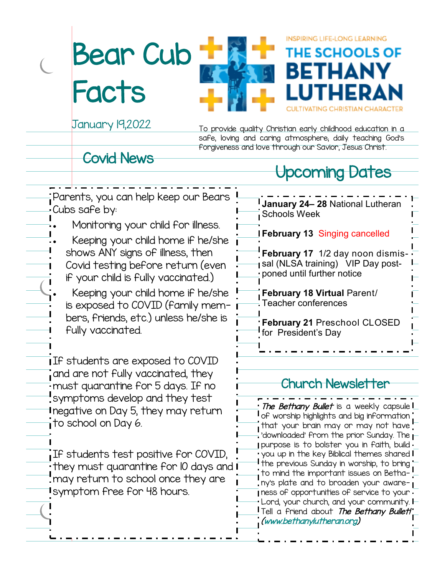Bear Cub Facts



January 19,2022

To provide quality Christian early childhood education in a safe, loving and caring atmosphere; daily teaching God's forgiveness and love through our Savior, Jesus Christ.

**INSPIRING LIFE-LONG LEARNING** 

BETHA

THE SCHOOLS OF

#### Covid News

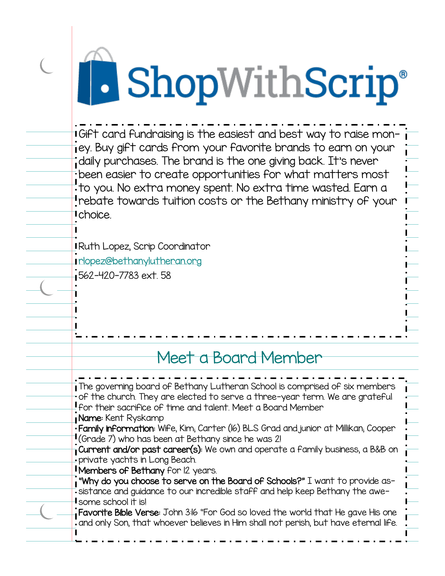## **B** ShopWithScrip®

Gift card fundraising is the easiest and best way to raise money. Buy gift cards from your favorite brands to earn on your daily purchases. The brand is the one giving back. It's never been easier to create opportunities for what matters most to you. No extra money spent. No extra time wasted. Earn a rebate towards tuition costs or the Bethany ministry of your choice.

Ruth Lopez, Scrip Coordinator [rlopez@bethanylutheran.org](mailto:rlopez@bethanylutheran.org) 562-420-7783 ext. 58

### Meet a Board Member

| The governing board of Bethany Lutheran School is comprised of six members              |
|-----------------------------------------------------------------------------------------|
| of the church. They are elected to serve a three-year term. We are grateful             |
| For their sacrifice of time and talent. Meet a Board Member                             |
| Name: Kent Ryskamp                                                                      |
| • Family information: Wife, Kim, Carter (16) BLS Grad and junior at Millikan, Cooper    |
| <b>I</b> (Grade 7) who has been at Bethany since he was 2!                              |
| Current and/or past career(s): We own and operate a family business, a B&B on           |
| private yachts in Long Beach.                                                           |
| <b>I Members of Bethany</b> for 12 years.                                               |
| , "Why do you choose to serve on the Board of Schools?" $\mathbb I$ want to provide as- |
| -sistance and guidance to our incredible staff and help keep Bethany the awe-           |
| $\mathsf I$ some school it is!                                                          |
| Favorite Bible Verse: John 3:16 "For God so loved the world that He gave His one        |
| and only Son, that whoever believes in Him shall not perish, but have eternal life.     |
|                                                                                         |
|                                                                                         |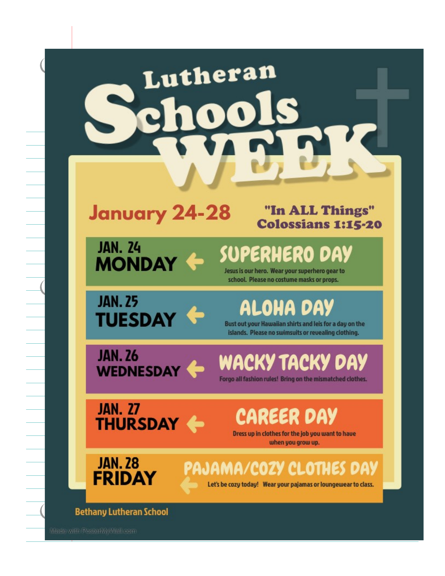| Lutheran<br>00                                                                                                                                                         |
|------------------------------------------------------------------------------------------------------------------------------------------------------------------------|
| <b>January 24-28</b><br>"In ALL Things"<br><b>Colossians 1:15-20</b>                                                                                                   |
| <b>JAN. 24</b><br>SUPERHERO DAY<br><b>MONDAY</b><br>Jesus is our hero. Wear your superhero gear to<br>school. Please no costume masks or props.                        |
| <b>JAN. 25</b><br><b>ALOHA DAY</b><br><b>TUESDAY</b><br>Bust out your Hawaiian shirts and leis for a day on the<br>islands. Please no swimsuits or revealing clothing. |
| JAN. 26<br>WACKY TACKY DAY<br>Forgo all fashion rules! Bring on the mismatched clothes.                                                                                |
| <b>JAN. 27</b><br>CAREER DAY<br><b>THURSDAY +</b><br>Dress up in clothes for the job you want to have<br>when you grow up.                                             |
| <b>JAN. 28</b><br>PAJAMA/COZY CLOTHES DAY<br><b>FRIDAY</b><br>Let's be cozy today! Wear your pajamas or loungewear to class.                                           |
| <b>Bethany Lutheran School</b>                                                                                                                                         |